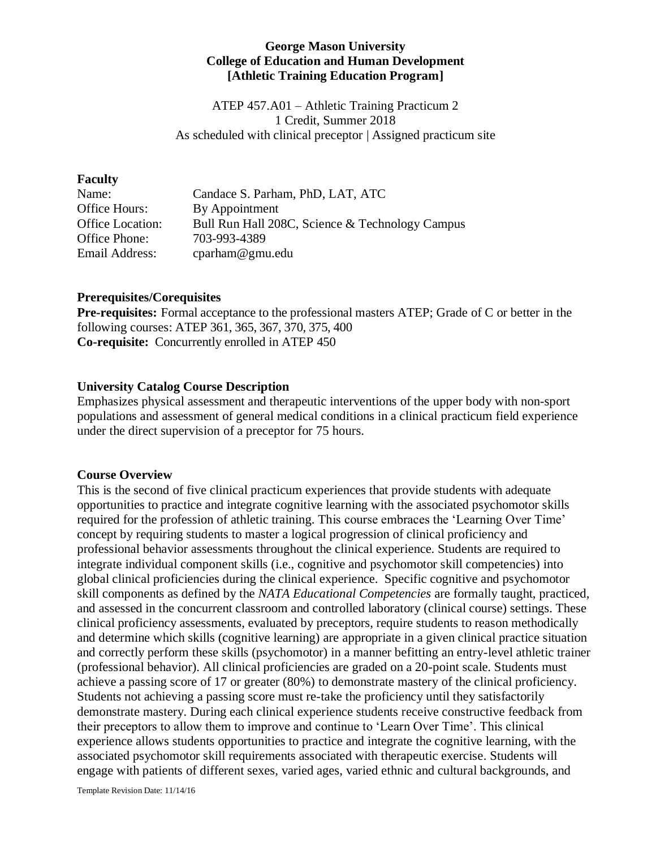#### **George Mason University College of Education and Human Development [Athletic Training Education Program]**

ATEP 457.A01 – Athletic Training Practicum 2 1 Credit, Summer 2018 As scheduled with clinical preceptor | Assigned practicum site

#### **Faculty**

| Name:                   | Candace S. Parham, PhD, LAT, ATC                |
|-------------------------|-------------------------------------------------|
| Office Hours:           | By Appointment                                  |
| <b>Office Location:</b> | Bull Run Hall 208C, Science & Technology Campus |
| Office Phone:           | 703-993-4389                                    |
| Email Address:          | cparham@gmu.edu                                 |

#### **Prerequisites/Corequisites**

**Pre-requisites:** Formal acceptance to the professional masters ATEP; Grade of C or better in the following courses: ATEP 361, 365, 367, 370, 375, 400 **Co-requisite:** Concurrently enrolled in ATEP 450

### **University Catalog Course Description**

Emphasizes physical assessment and therapeutic interventions of the upper body with non-sport populations and assessment of general medical conditions in a clinical practicum field experience under the direct supervision of a preceptor for 75 hours.

#### **Course Overview**

This is the second of five clinical practicum experiences that provide students with adequate opportunities to practice and integrate cognitive learning with the associated psychomotor skills required for the profession of athletic training. This course embraces the 'Learning Over Time' concept by requiring students to master a logical progression of clinical proficiency and professional behavior assessments throughout the clinical experience. Students are required to integrate individual component skills (i.e., cognitive and psychomotor skill competencies) into global clinical proficiencies during the clinical experience. Specific cognitive and psychomotor skill components as defined by the *NATA Educational Competencies* are formally taught, practiced, and assessed in the concurrent classroom and controlled laboratory (clinical course) settings. These clinical proficiency assessments, evaluated by preceptors, require students to reason methodically and determine which skills (cognitive learning) are appropriate in a given clinical practice situation and correctly perform these skills (psychomotor) in a manner befitting an entry-level athletic trainer (professional behavior). All clinical proficiencies are graded on a 20-point scale. Students must achieve a passing score of 17 or greater (80%) to demonstrate mastery of the clinical proficiency. Students not achieving a passing score must re-take the proficiency until they satisfactorily demonstrate mastery. During each clinical experience students receive constructive feedback from their preceptors to allow them to improve and continue to 'Learn Over Time'. This clinical experience allows students opportunities to practice and integrate the cognitive learning, with the associated psychomotor skill requirements associated with therapeutic exercise. Students will engage with patients of different sexes, varied ages, varied ethnic and cultural backgrounds, and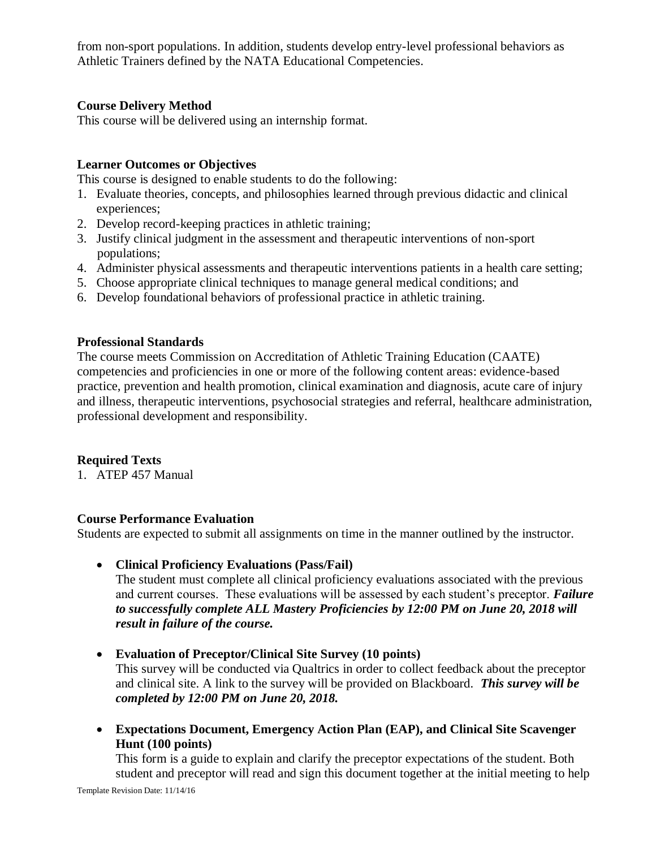from non-sport populations. In addition, students develop entry-level professional behaviors as Athletic Trainers defined by the NATA Educational Competencies.

### **Course Delivery Method**

This course will be delivered using an internship format.

### **Learner Outcomes or Objectives**

This course is designed to enable students to do the following:

- 1. Evaluate theories, concepts, and philosophies learned through previous didactic and clinical experiences;
- 2. Develop record-keeping practices in athletic training;
- 3. Justify clinical judgment in the assessment and therapeutic interventions of non-sport populations;
- 4. Administer physical assessments and therapeutic interventions patients in a health care setting;
- 5. Choose appropriate clinical techniques to manage general medical conditions; and
- 6. Develop foundational behaviors of professional practice in athletic training.

### **Professional Standards**

The course meets Commission on Accreditation of Athletic Training Education (CAATE) competencies and proficiencies in one or more of the following content areas: evidence-based practice, prevention and health promotion, clinical examination and diagnosis, acute care of injury and illness, therapeutic interventions, psychosocial strategies and referral, healthcare administration, professional development and responsibility.

### **Required Texts**

1. ATEP 457 Manual

### **Course Performance Evaluation**

Students are expected to submit all assignments on time in the manner outlined by the instructor.

• **Clinical Proficiency Evaluations (Pass/Fail)**

The student must complete all clinical proficiency evaluations associated with the previous and current courses. These evaluations will be assessed by each student's preceptor. *Failure to successfully complete ALL Mastery Proficiencies by 12:00 PM on June 20, 2018 will result in failure of the course.*

• **Evaluation of Preceptor/Clinical Site Survey (10 points)**

This survey will be conducted via Qualtrics in order to collect feedback about the preceptor and clinical site. A link to the survey will be provided on Blackboard. *This survey will be completed by 12:00 PM on June 20, 2018.*

• **Expectations Document, Emergency Action Plan (EAP), and Clinical Site Scavenger Hunt (100 points)**

This form is a guide to explain and clarify the preceptor expectations of the student. Both student and preceptor will read and sign this document together at the initial meeting to help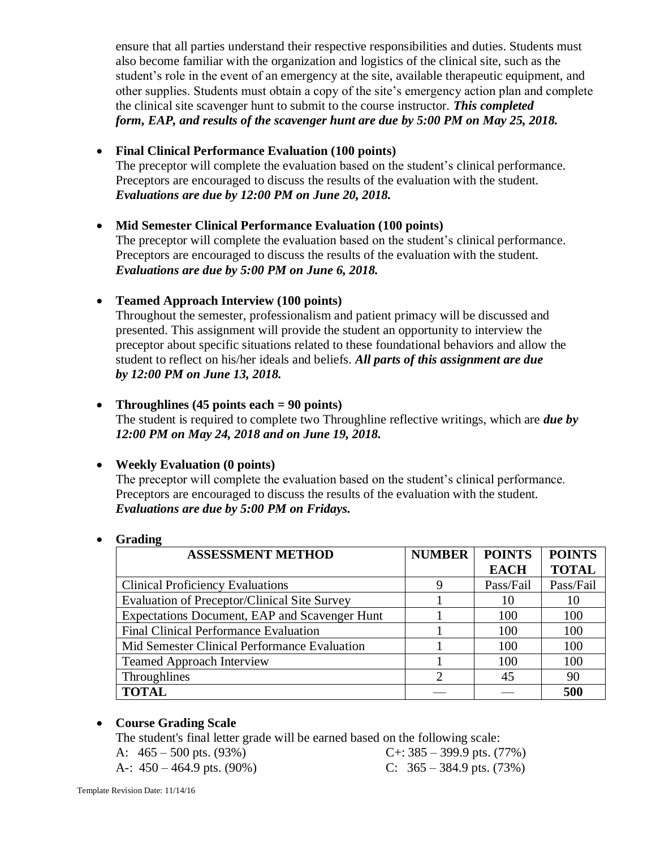ensure that all parties understand their respective responsibilities and duties. Students must also become familiar with the organization and logistics of the clinical site, such as the student's role in the event of an emergency at the site, available therapeutic equipment, and other supplies. Students must obtain a copy of the site's emergency action plan and complete the clinical site scavenger hunt to submit to the course instructor. *This completed form, EAP, and results of the scavenger hunt are due by 5:00 PM on May 25, 2018.*

### • **Final Clinical Performance Evaluation (100 points)**

The preceptor will complete the evaluation based on the student's clinical performance. Preceptors are encouraged to discuss the results of the evaluation with the student. *Evaluations are due by 12:00 PM on June 20, 2018.*

### • **Mid Semester Clinical Performance Evaluation (100 points)**

The preceptor will complete the evaluation based on the student's clinical performance. Preceptors are encouraged to discuss the results of the evaluation with the student. *Evaluations are due by 5:00 PM on June 6, 2018.*

### • **Teamed Approach Interview (100 points)**

Throughout the semester, professionalism and patient primacy will be discussed and presented. This assignment will provide the student an opportunity to interview the preceptor about specific situations related to these foundational behaviors and allow the student to reflect on his/her ideals and beliefs. *All parts of this assignment are due by 12:00 PM on June 13, 2018.*

### • **Throughlines (45 points each = 90 points)**

The student is required to complete two Throughline reflective writings, which are *due by 12:00 PM on May 24, 2018 and on June 19, 2018.*

# • **Weekly Evaluation (0 points)**

The preceptor will complete the evaluation based on the student's clinical performance. Preceptors are encouraged to discuss the results of the evaluation with the student. *Evaluations are due by 5:00 PM on Fridays.*

### • **Grading**

| <b>ASSESSMENT METHOD</b>                            | <b>NUMBER</b> | <b>POINTS</b> | <b>POINTS</b> |
|-----------------------------------------------------|---------------|---------------|---------------|
|                                                     |               | <b>EACH</b>   | <b>TOTAL</b>  |
| <b>Clinical Proficiency Evaluations</b>             |               | Pass/Fail     | Pass/Fail     |
| <b>Evaluation of Preceptor/Clinical Site Survey</b> |               | 10            | 10            |
| Expectations Document, EAP and Scavenger Hunt       |               | 100           | 100           |
| <b>Final Clinical Performance Evaluation</b>        |               | 100           | 100           |
| Mid Semester Clinical Performance Evaluation        |               | 100           | 100           |
| <b>Teamed Approach Interview</b>                    |               | 100           | 100           |
| Throughlines                                        |               | 45            | 90            |
| <b>TOTAL</b>                                        |               |               | 500           |

### • **Course Grading Scale**

The student's final letter grade will be earned based on the following scale:

A:  $465 - 500$  pts. (93%) C+: 385 – 399.9 pts. (77%)

A-:  $450 - 464.9$  pts. (90%) C:  $365 - 384.9$  pts. (73%)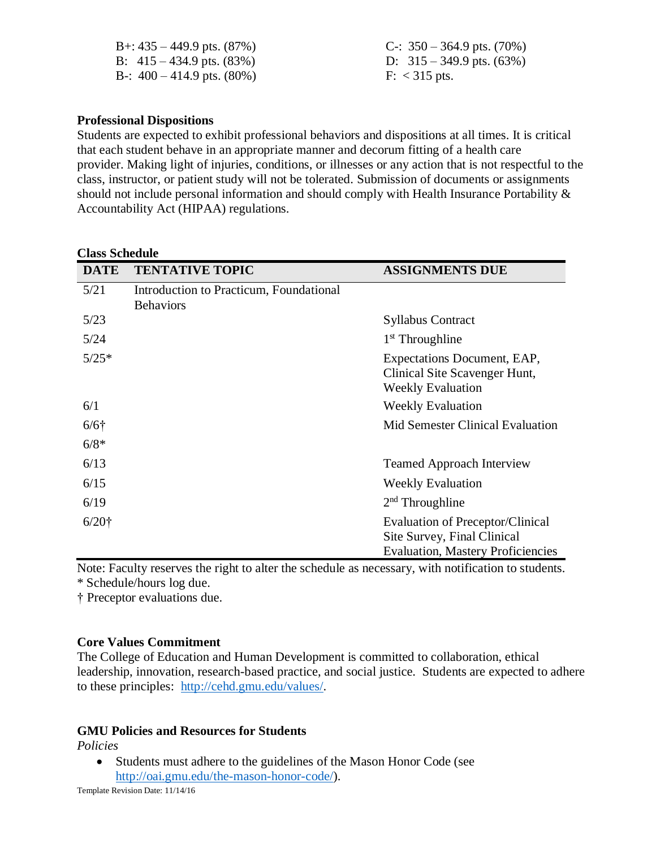| B+: $435 - 449.9$ pts. $(87\%)$ | C-: $350 - 364.9$ pts. (70%)   |
|---------------------------------|--------------------------------|
| B: $415 - 434.9$ pts. $(83\%)$  | D: $315 - 349.9$ pts. $(63\%)$ |
| B-: $400 - 414.9$ pts. $(80\%)$ | $F: < 315$ pts.                |

#### **Professional Dispositions**

Students are expected to exhibit professional behaviors and dispositions at all times. It is critical that each student behave in an appropriate manner and decorum fitting of a health care provider. Making light of injuries, conditions, or illnesses or any action that is not respectful to the class, instructor, or patient study will not be tolerated. Submission of documents or assignments should not include personal information and should comply with Health Insurance Portability & Accountability Act (HIPAA) regulations.

#### **Class Schedule**

| <b>DATE</b> | <b>TENTATIVE TOPIC</b>                                      | <b>ASSIGNMENTS DUE</b>                                                                                             |
|-------------|-------------------------------------------------------------|--------------------------------------------------------------------------------------------------------------------|
| 5/21        | Introduction to Practicum, Foundational<br><b>Behaviors</b> |                                                                                                                    |
| 5/23        |                                                             | <b>Syllabus Contract</b>                                                                                           |
| 5/24        |                                                             | $1st$ Throughline                                                                                                  |
| $5/25*$     |                                                             | Expectations Document, EAP,<br>Clinical Site Scavenger Hunt,<br><b>Weekly Evaluation</b>                           |
| 6/1         |                                                             | <b>Weekly Evaluation</b>                                                                                           |
| $6/6$ †     |                                                             | Mid Semester Clinical Evaluation                                                                                   |
| $6/8*$      |                                                             |                                                                                                                    |
| 6/13        |                                                             | <b>Teamed Approach Interview</b>                                                                                   |
| 6/15        |                                                             | <b>Weekly Evaluation</b>                                                                                           |
| 6/19        |                                                             | $2nd$ Throughline                                                                                                  |
| $6/20$ †    |                                                             | <b>Evaluation of Preceptor/Clinical</b><br>Site Survey, Final Clinical<br><b>Evaluation, Mastery Proficiencies</b> |

Note: Faculty reserves the right to alter the schedule as necessary, with notification to students. \* Schedule/hours log due.

† Preceptor evaluations due.

#### **Core Values Commitment**

The College of Education and Human Development is committed to collaboration, ethical leadership, innovation, research-based practice, and social justice. Students are expected to adhere to these principles: [http://cehd.gmu.edu/values/.](http://cehd.gmu.edu/values/)

#### **GMU Policies and Resources for Students**

*Policies*

• Students must adhere to the guidelines of the Mason Honor Code (see [http://oai.gmu.edu/the-mason-honor-code/\)](http://oai.gmu.edu/the-mason-honor-code/).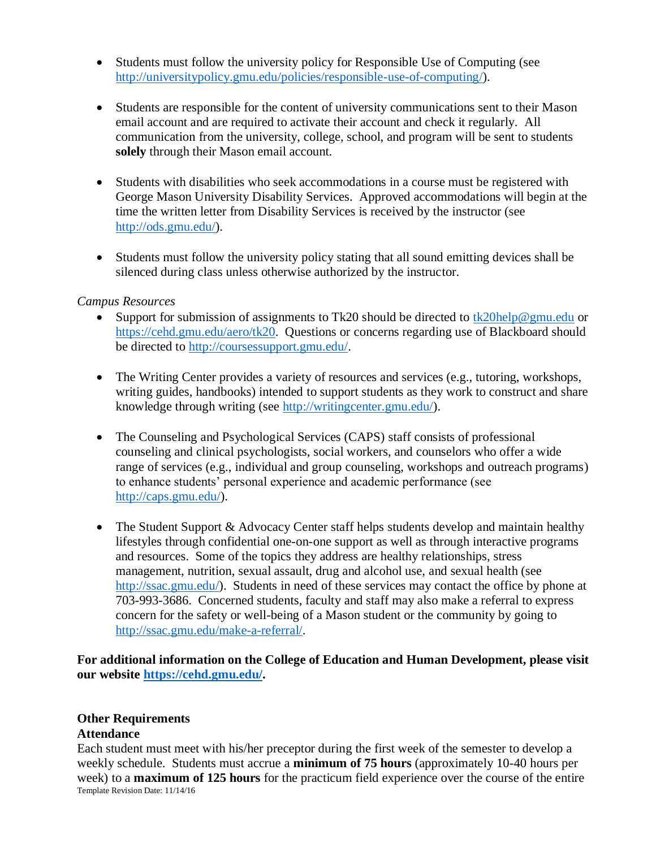- Students must follow the university policy for Responsible Use of Computing (see [http://universitypolicy.gmu.edu/policies/responsible-use-of-computing/\)](http://universitypolicy.gmu.edu/policies/responsible-use-of-computing/).
- Students are responsible for the content of university communications sent to their Mason email account and are required to activate their account and check it regularly. All communication from the university, college, school, and program will be sent to students **solely** through their Mason email account.
- Students with disabilities who seek accommodations in a course must be registered with George Mason University Disability Services. Approved accommodations will begin at the time the written letter from Disability Services is received by the instructor (see [http://ods.gmu.edu/\)](http://ods.gmu.edu/).
- Students must follow the university policy stating that all sound emitting devices shall be silenced during class unless otherwise authorized by the instructor.

#### *Campus Resources*

- Support for submission of assignments to Tk20 should be directed to [tk20help@gmu.edu](mailto:tk20help@gmu.edu) or [https://cehd.gmu.edu/aero/tk20.](https://cehd.gmu.edu/aero/tk20) Questions or concerns regarding use of Blackboard should be directed to [http://coursessupport.gmu.edu/.](http://coursessupport.gmu.edu/)
- The Writing Center provides a variety of resources and services (e.g., tutoring, workshops, writing guides, handbooks) intended to support students as they work to construct and share knowledge through writing (see [http://writingcenter.gmu.edu/\)](http://writingcenter.gmu.edu/).
- The Counseling and Psychological Services (CAPS) staff consists of professional counseling and clinical psychologists, social workers, and counselors who offer a wide range of services (e.g., individual and group counseling, workshops and outreach programs) to enhance students' personal experience and academic performance (see [http://caps.gmu.edu/\)](http://caps.gmu.edu/).
- The Student Support & Advocacy Center staff helps students develop and maintain healthy lifestyles through confidential one-on-one support as well as through interactive programs and resources. Some of the topics they address are healthy relationships, stress management, nutrition, sexual assault, drug and alcohol use, and sexual health (see [http://ssac.gmu.edu/\)](http://ssac.gmu.edu/). Students in need of these services may contact the office by phone at 703-993-3686. Concerned students, faculty and staff may also make a referral to express concern for the safety or well-being of a Mason student or the community by going to [http://ssac.gmu.edu/make-a-referral/.](http://ssac.gmu.edu/make-a-referral/)

**For additional information on the College of Education and Human Development, please visit our website [https://cehd.gmu.edu/.](https://cehd.gmu.edu/)**

# **Other Requirements**

### **Attendance**

Template Revision Date: 11/14/16 Each student must meet with his/her preceptor during the first week of the semester to develop a weekly schedule. Students must accrue a **minimum of 75 hours** (approximately 10-40 hours per week) to a **maximum of 125 hours** for the practicum field experience over the course of the entire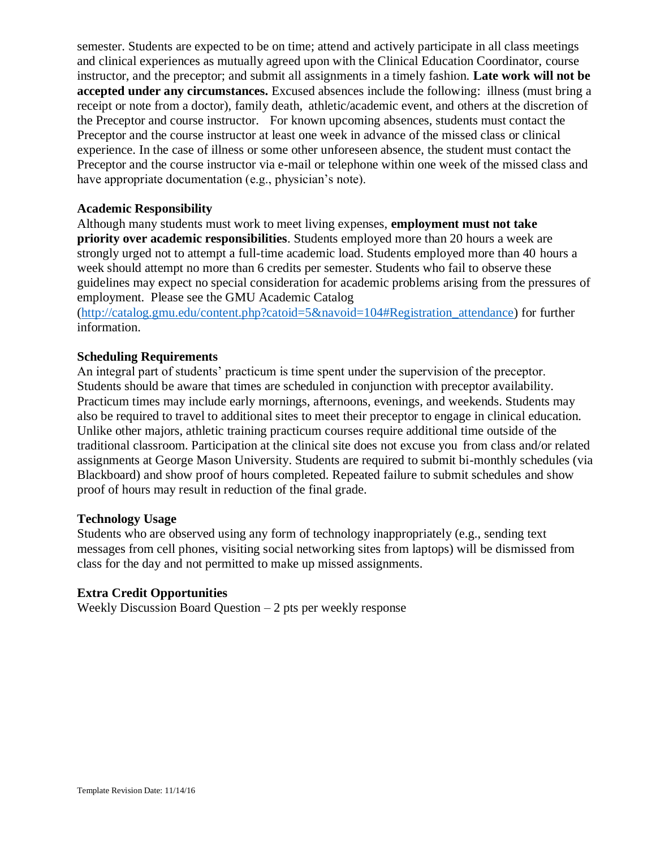semester. Students are expected to be on time; attend and actively participate in all class meetings and clinical experiences as mutually agreed upon with the Clinical Education Coordinator, course instructor, and the preceptor; and submit all assignments in a timely fashion. **Late work will not be accepted under any circumstances.** Excused absences include the following: illness (must bring a receipt or note from a doctor), family death, athletic/academic event, and others at the discretion of the Preceptor and course instructor. For known upcoming absences, students must contact the Preceptor and the course instructor at least one week in advance of the missed class or clinical experience. In the case of illness or some other unforeseen absence, the student must contact the Preceptor and the course instructor via e-mail or telephone within one week of the missed class and have appropriate documentation (e.g., physician's note).

#### **Academic Responsibility**

Although many students must work to meet living expenses, **employment must not take priority over academic responsibilities**. Students employed more than 20 hours a week are strongly urged not to attempt a full-time academic load. Students employed more than 40 hours a week should attempt no more than 6 credits per semester. Students who fail to observe these guidelines may expect no special consideration for academic problems arising from the pressures of employment. Please see the GMU Academic Catalog

[\(http://catalog.gmu.edu/content.php?catoid=5&navoid=104#Registration\\_attendance\)](http://catalog.gmu.edu/content.php?catoid=5&navoid=104#Registration_attendance) for further information.

### **Scheduling Requirements**

An integral part of students' practicum is time spent under the supervision of the preceptor. Students should be aware that times are scheduled in conjunction with preceptor availability. Practicum times may include early mornings, afternoons, evenings, and weekends. Students may also be required to travel to additional sites to meet their preceptor to engage in clinical education. Unlike other majors, athletic training practicum courses require additional time outside of the traditional classroom. Participation at the clinical site does not excuse you from class and/or related assignments at George Mason University. Students are required to submit bi-monthly schedules (via Blackboard) and show proof of hours completed. Repeated failure to submit schedules and show proof of hours may result in reduction of the final grade.

#### **Technology Usage**

Students who are observed using any form of technology inappropriately (e.g., sending text messages from cell phones, visiting social networking sites from laptops) will be dismissed from class for the day and not permitted to make up missed assignments.

### **Extra Credit Opportunities**

Weekly Discussion Board Question – 2 pts per weekly response